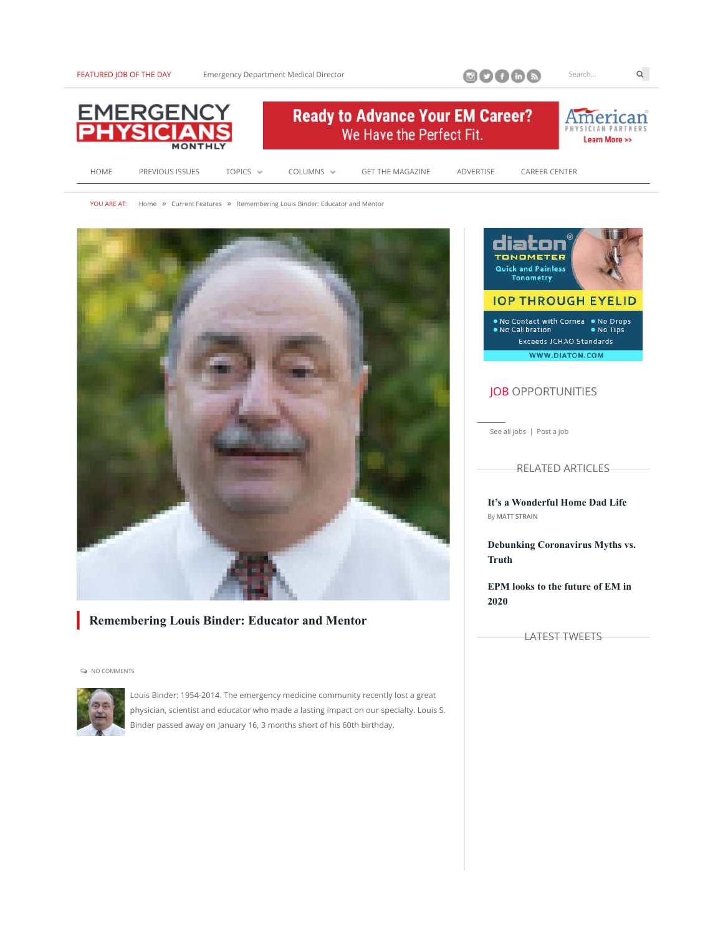FEATURED JOB OF THE DAY





YOU ARE AT: Home » Current Features » Remembering Louis Binder: Educator and Mentor



### **Remembering Louis Binder: Educator and Mentor**

 $Q$  NO COMMENTS



Louis Binder: 1954-2014. The emergency medicine community recently lost a great physician, scientist and educator who made a lasting impact on our specialty. Louis S. Binder passed away on January 16, 3 months short of his 60th birthday.



## **JOB OPPORTUNITIES**

See all jobs | Post a job

**RELATED ARTICLES** 

It's a Wonderful Home Dad Life By MATT STRAIN

Debunking Coronavirus Myths vs. **Truth** 

**EPM** looks to the future of EM in 2020

**LATEST TWEETS** 

 $Q$ 

Search...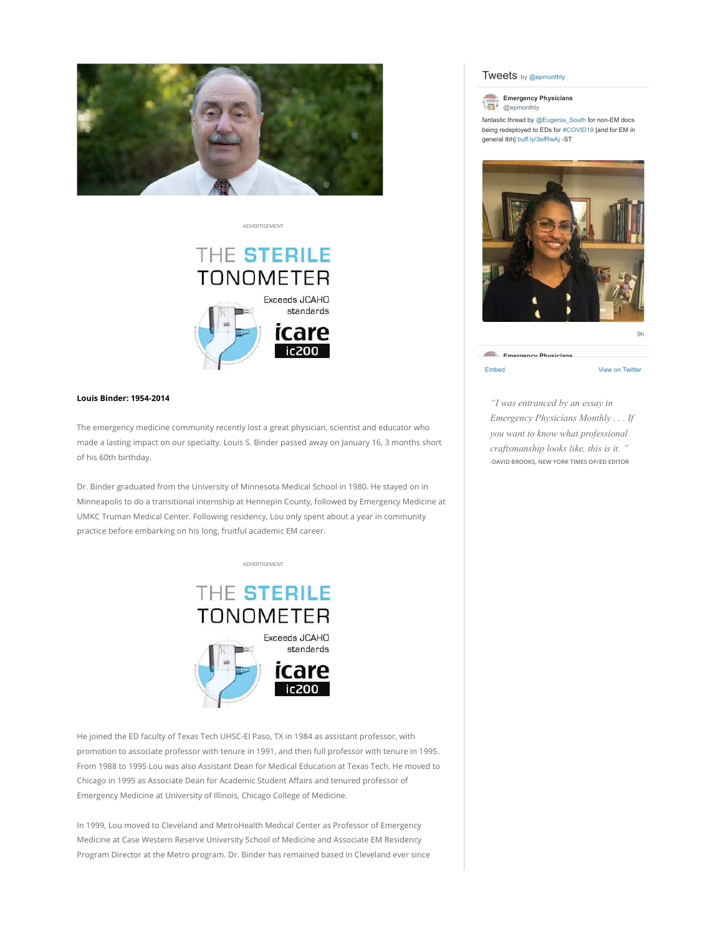

**ADVERTISEMENT** 

# THE STERILE **TONOMETER** Exceeds JCAHO standards rcal

#### **Louis Binder: 1954-2014**

The emergency medicine community recently lost a great physician, scientist and educator who made a lasting impact on our specialty. Louis S. Binder passed away on January 16, 3 months short of his 60th birthday.

Dr. Binder graduated from the University of Minnesota Medical School in 1980. He stayed on in Minneapolis to do a transitional internship at Hennepin County, followed by Emergency Medicine at UMKC Truman Medical Center. Following residency, Lou only spent about a year in community practice before embarking on his long, fruitful academic EM career.



He joined the ED faculty of Texas Tech UHSC-El Paso, TX in 1984 as assistant professor, with promotion to associate professor with tenure in 1991, and then full professor with tenure in 1995. From 1988 to 1995 Lou was also Assistant Dean for Medical Education at Texas Tech. He moved to Chicago in 1995 as Associate Dean for Academic Student Affairs and tenured professor of Emergency Medicine at University of Illinois, Chicago College of Medicine.

In 1999, Lou moved to Cleveland and MetroHealth Medical Center as Professor of Emergency Medicine at Case Western Reserve University School of Medicine and Associate EM Residency Program Director at the Metro program. Dr. Binder has remained based in Cleveland ever since

#### Tweets by @epmonthly



fantastic thread by @ Eugenia\_South for non-EM docs being redeployed to EDs for #COVID19 [and for EM in general tbh] buff.ly/3efRwAj -ST



Embed View on Twitter

*"I was entranced by an essay in Emergency Physicians Monthly . . . If you want to know what professional craftsmanship looks like, this is it. "* -DAVID BROOKS, NEW YORK TIMES OP/ED EDITOR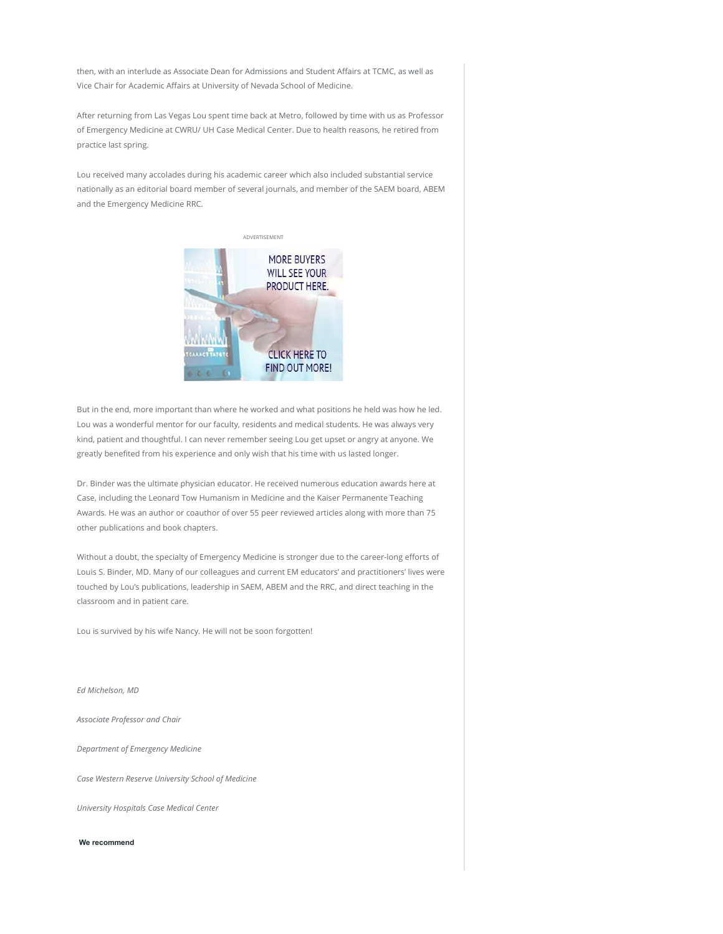then, with an interlude as Associate Dean for Admissions and Student Affairs at TCMC, as well as Vice Chair for Academic Affairs at University of Nevada School of Medicine.

After returning from Las Vegas Lou spent time back at Metro, followed by time with us as Professor of Emergency Medicine at CWRU/ UH Case Medical Center. Due to health reasons, he retired from practice last spring.

Lou received many accolades during his academic career which also included substantial service nationally as an editorial board member of several journals, and member of the SAEM board, ABEM and the Emergency Medicine RRC.



But in the end, more important than where he worked and what positions he held was how he led. Lou was a wonderful mentor for our faculty, residents and medical students. He was always very kind, patient and thoughtful. I can never remember seeing Lou get upset or angry at anyone. We greatly benefited from his experience and only wish that his time with us lasted longer.

Dr. Binder was the ultimate physician educator. He received numerous education awards here at Case, including the Leonard Tow Humanism in Medicine and the Kaiser Permanente Teaching Awards. He was an author or coauthor of over 55 peer reviewed articles along with more than 75 other publications and book chapters.

Without a doubt, the specialty of Emergency Medicine is stronger due to the career-long efforts of Louis S. Binder, MD. Many of our colleagues and current EM educators' and practitioners' lives were touched by Lou's publications, leadership in SAEM, ABEM and the RRC, and direct teaching in the classroom and in patient care.

Lou is survived by his wife Nancy. He will not be soon forgotten!

Ed Michelson, MD

Associate Professor and Chair

Department of Emergency Medicine

Case Western Reserve University School of Medicine

University Hospitals Case Medical Center

We recommend